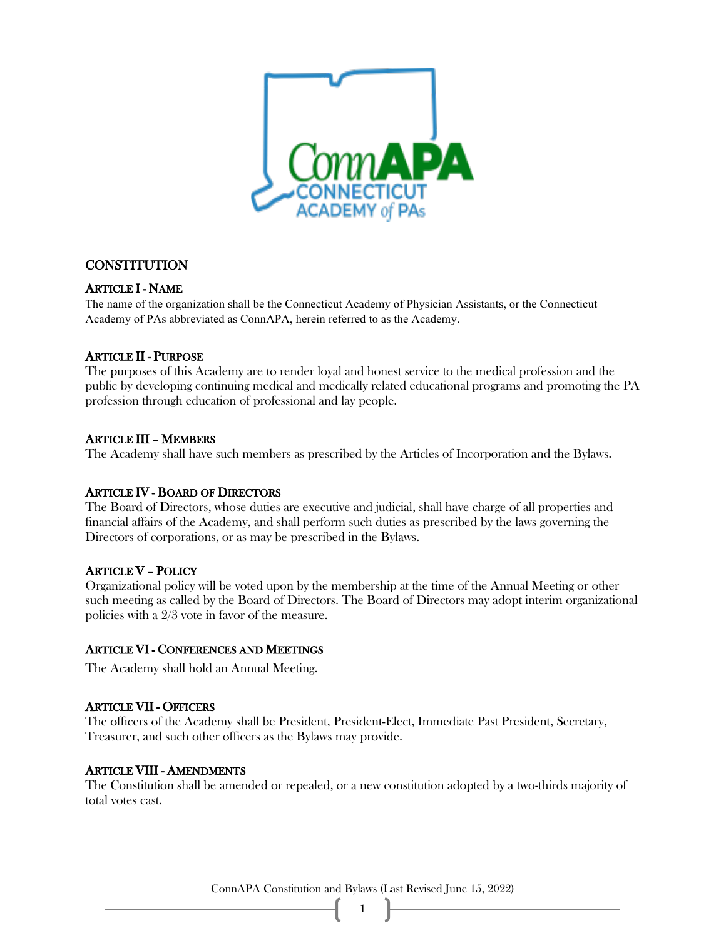

## **CONSTITUTION**

#### ARTICLE I - NAME

The name of the organization shall be the Connecticut Academy of Physician Assistants, or the Connecticut Academy of PAs abbreviated as ConnAPA, herein referred to as the Academy.

#### ARTICLE II - PURPOSE

The purposes of this Academy are to render loyal and honest service to the medical profession and the public by developing continuing medical and medically related educational programs and promoting the PA profession through education of professional and lay people.

#### ARTICLE III – MEMBERS

The Academy shall have such members as prescribed by the Articles of Incorporation and the Bylaws.

#### ARTICLE IV - BOARD OF DIRECTORS

The Board of Directors, whose duties are executive and judicial, shall have charge of all properties and financial affairs of the Academy, and shall perform such duties as prescribed by the laws governing the Directors of corporations, or as may be prescribed in the Bylaws.

#### ARTICLE V – POLICY

Organizational policy will be voted upon by the membership at the time of the Annual Meeting or other such meeting as called by the Board of Directors. The Board of Directors may adopt interim organizational policies with a 2/3 vote in favor of the measure.

## ARTICLE VI - CONFERENCES AND MEETINGS

The Academy shall hold an Annual Meeting.

#### ARTICLE VII - OFFICERS

The officers of the Academy shall be President, President-Elect, Immediate Past President, Secretary, Treasurer, and such other officers as the Bylaws may provide.

#### ARTICLE VIII - AMENDMENTS

The Constitution shall be amended or repealed, or a new constitution adopted by a two-thirds majority of total votes cast.

ConnAPA Constitution and Bylaws (Last Revised June 15, 2022)

1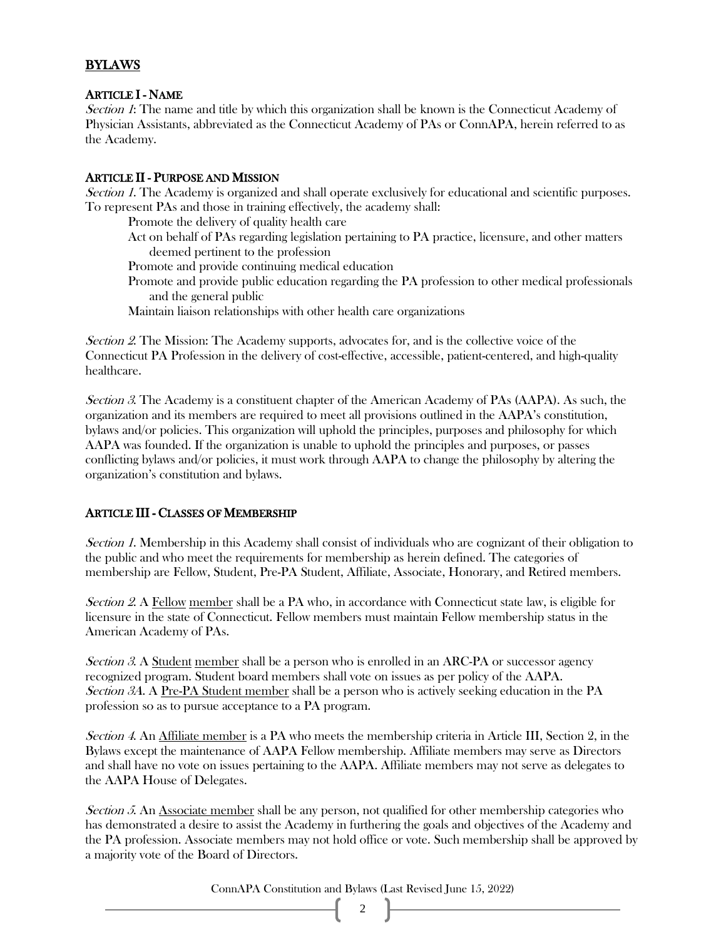# BYLAWS

## ARTICLE I - NAME

Section 1: The name and title by which this organization shall be known is the Connecticut Academy of Physician Assistants, abbreviated as the Connecticut Academy of PAs or ConnAPA, herein referred to as the Academy.

#### ARTICLE II - PURPOSE AND MISSION

Section 1. The Academy is organized and shall operate exclusively for educational and scientific purposes. To represent PAs and those in training effectively, the academy shall:

Promote the delivery of quality health care

Act on behalf of PAs regarding legislation pertaining to PA practice, licensure, and other matters deemed pertinent to the profession

Promote and provide continuing medical education

Promote and provide public education regarding the PA profession to other medical professionals and the general public

Maintain liaison relationships with other health care organizations

Section 2. The Mission: The Academy supports, advocates for, and is the collective voice of the Connecticut PA Profession in the delivery of cost-effective, accessible, patient-centered, and high-quality healthcare.

Section 3. The Academy is a constituent chapter of the American Academy of PAs (AAPA). As such, the organization and its members are required to meet all provisions outlined in the AAPA's constitution, bylaws and/or policies. This organization will uphold the principles, purposes and philosophy for which AAPA was founded. If the organization is unable to uphold the principles and purposes, or passes conflicting bylaws and/or policies, it must work through AAPA to change the philosophy by altering the organization's constitution and bylaws.

## ARTICLE III - CLASSES OF MEMBERSHIP

Section 1. Membership in this Academy shall consist of individuals who are cognizant of their obligation to the public and who meet the requirements for membership as herein defined. The categories of membership are Fellow, Student, Pre-PA Student, Affiliate, Associate, Honorary, and Retired members.

Section 2. A Fellow member shall be a PA who, in accordance with Connecticut state law, is eligible for licensure in the state of Connecticut. Fellow members must maintain Fellow membership status in the American Academy of PAs.

Section 3. A Student member shall be a person who is enrolled in an ARC-PA or successor agency recognized program. Student board members shall vote on issues as per policy of the AAPA. Section 3A. A Pre-PA Student member shall be a person who is actively seeking education in the PA profession so as to pursue acceptance to a PA program.

Section 4. An Affiliate member is a PA who meets the membership criteria in Article III, Section 2, in the Bylaws except the maintenance of AAPA Fellow membership. Affiliate members may serve as Directors and shall have no vote on issues pertaining to the AAPA. Affiliate members may not serve as delegates to the AAPA House of Delegates.

Section 5. An Associate member shall be any person, not qualified for other membership categories who has demonstrated a desire to assist the Academy in furthering the goals and objectives of the Academy and the PA profession. Associate members may not hold office or vote. Such membership shall be approved by a majority vote of the Board of Directors.

ConnAPA Constitution and Bylaws (Last Revised June 15, 2022)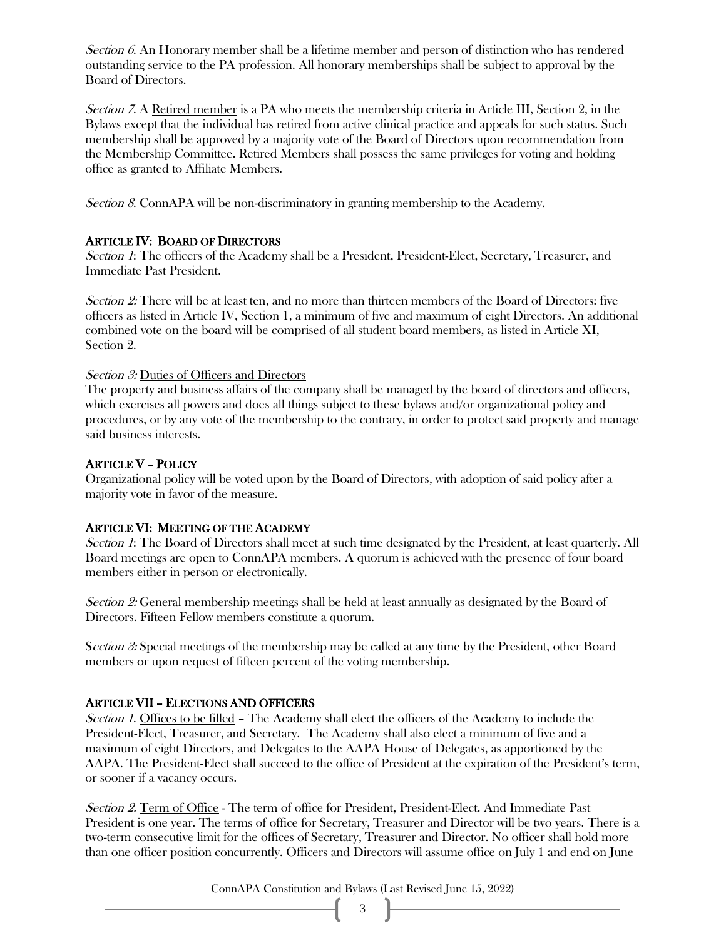Section 6. An Honorary member shall be a lifetime member and person of distinction who has rendered outstanding service to the PA profession. All honorary memberships shall be subject to approval by the Board of Directors.

Section <sup>7</sup>. A Retired member is a PA who meets the membership criteria in Article III, Section 2, in the Bylaws except that the individual has retired from active clinical practice and appeals for such status. Such membership shall be approved by a majority vote of the Board of Directors upon recommendation from the Membership Committee. Retired Members shall possess the same privileges for voting and holding office as granted to Affiliate Members.

Section <sup>8</sup>. ConnAPA will be non-discriminatory in granting membership to the Academy.

## ARTICLE IV: BOARD OF DIRECTORS

Section <sup>1</sup>: The officers of the Academy shall be a President, President-Elect, Secretary, Treasurer, and Immediate Past President.

Section  $2$ : There will be at least ten, and no more than thirteen members of the Board of Directors: five officers as listed in Article IV, Section 1, a minimum of five and maximum of eight Directors. An additional combined vote on the board will be comprised of all student board members, as listed in Article XI, Section 2.

## Section 3: Duties of Officers and Directors

The property and business affairs of the company shall be managed by the board of directors and officers, which exercises all powers and does all things subject to these bylaws and/or organizational policy and procedures, or by any vote of the membership to the contrary, in order to protect said property and manage said business interests.

# ARTICLE V – POLICY

Organizational policy will be voted upon by the Board of Directors, with adoption of said policy after a majority vote in favor of the measure.

## ARTICLE VI: MEETING OF THE ACADEMY

Section 1: The Board of Directors shall meet at such time designated by the President, at least quarterly. All Board meetings are open to ConnAPA members. A quorum is achieved with the presence of four board members either in person or electronically.

Section 2: General membership meetings shall be held at least annually as designated by the Board of Directors. Fifteen Fellow members constitute a quorum.

Section 3: Special meetings of the membership may be called at any time by the President, other Board members or upon request of fifteen percent of the voting membership.

## ARTICLE VII – ELECTIONS AND OFFICERS

Section <sup>1</sup>. Offices to be filled – The Academy shall elect the officers of the Academy to include the President-Elect, Treasurer, and Secretary. The Academy shall also elect a minimum of five and a maximum of eight Directors, and Delegates to the AAPA House of Delegates, as apportioned by the AAPA. The President-Elect shall succeed to the office of President at the expiration of the President's term, or sooner if a vacancy occurs.

Section 2. Term of Office - The term of office for President, President-Elect. And Immediate Past President is one year. The terms of office for Secretary, Treasurer and Director will be two years. There is a two-term consecutive limit for the offices of Secretary, Treasurer and Director. No officer shall hold more than one officer position concurrently. Officers and Directors will assume office on July 1 and end on June

ConnAPA Constitution and Bylaws (Last Revised June 15, 2022)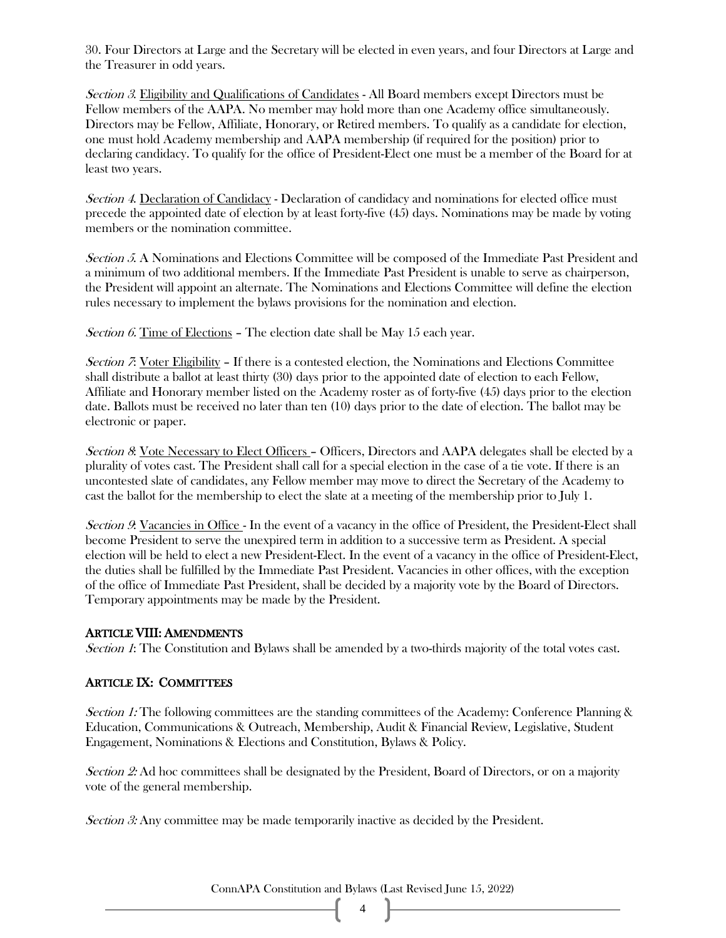30. Four Directors at Large and the Secretary will be elected in even years, and four Directors at Large and the Treasurer in odd years.

Section 3. Eligibility and Qualifications of Candidates - All Board members except Directors must be Fellow members of the AAPA. No member may hold more than one Academy office simultaneously. Directors may be Fellow, Affiliate, Honorary, or Retired members. To qualify as a candidate for election, one must hold Academy membership and AAPA membership (if required for the position) prior to declaring candidacy. To qualify for the office of President-Elect one must be a member of the Board for at least two years.

Section 4. Declaration of Candidacy - Declaration of candidacy and nominations for elected office must precede the appointed date of election by at least forty-five (45) days. Nominations may be made by voting members or the nomination committee.

Section 5. A Nominations and Elections Committee will be composed of the Immediate Past President and a minimum of two additional members. If the Immediate Past President is unable to serve as chairperson, the President will appoint an alternate. The Nominations and Elections Committee will define the election rules necessary to implement the bylaws provisions for the nomination and election.

Section 6. Time of Elections - The election date shall be May 15 each year.

Section <sup>7</sup>: Voter Eligibility – If there is a contested election, the Nominations and Elections Committee shall distribute a ballot at least thirty (30) days prior to the appointed date of election to each Fellow, Affiliate and Honorary member listed on the Academy roster as of forty-five (45) days prior to the election date. Ballots must be received no later than ten (10) days prior to the date of election. The ballot may be electronic or paper.

Section 8: Vote Necessary to Elect Officers – Officers, Directors and AAPA delegates shall be elected by a plurality of votes cast. The President shall call for a special election in the case of a tie vote. If there is an uncontested slate of candidates, any Fellow member may move to direct the Secretary of the Academy to cast the ballot for the membership to elect the slate at a meeting of the membership prior to July 1.

Section 9: Vacancies in Office - In the event of a vacancy in the office of President, the President-Elect shall become President to serve the unexpired term in addition to a successive term as President. A special election will be held to elect a new President-Elect. In the event of a vacancy in the office of President-Elect, the duties shall be fulfilled by the Immediate Past President. Vacancies in other offices, with the exception of the office of Immediate Past President, shall be decided by a majority vote by the Board of Directors. Temporary appointments may be made by the President.

## ARTICLE VIII: AMENDMENTS

Section 1: The Constitution and Bylaws shall be amended by a two-thirds majority of the total votes cast.

# ARTICLE IX: COMMITTEES

Section 1: The following committees are the standing committees of the Academy: Conference Planning & Education, Communications & Outreach, Membership, Audit & Financial Review, Legislative, Student Engagement, Nominations & Elections and Constitution, Bylaws & Policy.

Section 2: Ad hoc committees shall be designated by the President, Board of Directors, or on a majority vote of the general membership.

Section 3: Any committee may be made temporarily inactive as decided by the President.